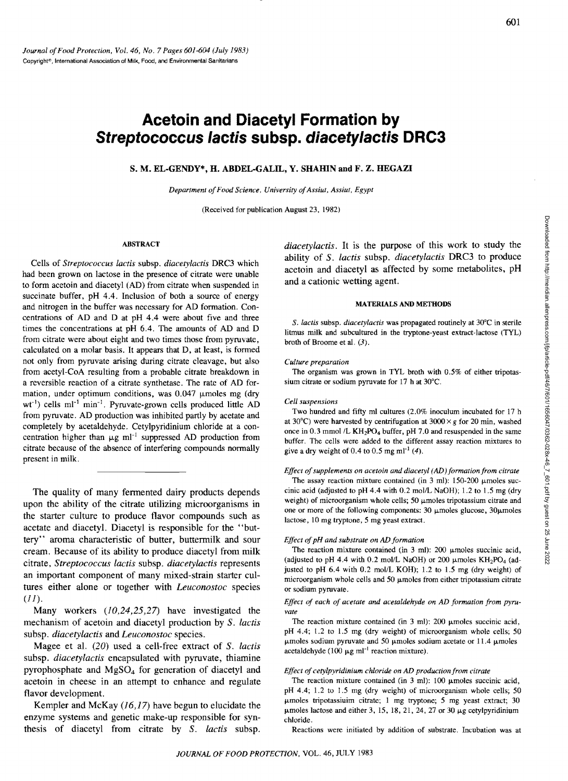# **Acetoin and Oiacetyl Formation by Streptococcus lactis subsp. diacetylactis ORC3**

S. M. EL-GENDY\*, H. ABDEL-GALIL, Y. SHAHIN and F. Z. HEGAZI

*Department of Food Science. University of Assiut. Assiut. Egypt* 

(Received for publication August 23, 1982)

### ABSTRACT

Cells of *Streptococcus lactis* subsp. *diacetylactis* DRC3 which had been grown on lactose in the presence of citrate were unable to form acetoin and diacetyl (AD) from citrate when suspended in succinate buffer, pH 4.4. Inclusion of both a source of energy and nitrogen in the buffer was necessary for AD formation. Concentrations of AD and D at pH 4.4 were about five and three times the concentrations at pH 6.4. The amounts of AD and D from citrate were about eight and two times those from pyruvate, calculated on a molar basis. It appears that D, at least, is formed not only from pyruvate arising during citrate cleavage, but also from acetyl-CoA resulting from a probable citrate breakdown in a reversible reaction of a citrate synthetase. The rate of AD formation, under optimum conditions, was  $0.047$  µmoles mg (dry  $wt^{-1}$ ) cells ml<sup>-1</sup> min<sup>-1</sup>. Pyruvate-grown cells produced little AD from pyruvate. AD production was inhibited partly by acetate and completely by acetaldehyde. Cetylpyridinium chloride at a concentration higher than  $\mu$ g ml<sup>-1</sup> suppressed AD production from citrate because of the absence of interfering compounds normally present in milk.

The quality of many fennented dairy products depends upon the ability of the citrate utilizing microorganisms in the starter culture to produce flavor compounds such as acetate and diacetyl. Diacetyl is responsible for the "buttery" aroma characteristic of butter, buttermilk and sour cream. Because of its ability to produce diacetyl from milk citrate, *Streptococcus lactis* subsp. *diacetylactis* represents an important component of many mixed-strain starter cultures either alone or together with *Leuconostoc* species  $(II).$ 

Many workers *(10,24,25,27)* have investigated the mechanism of acetoin and diacetyl production by S. *lactis*  subsp. *diacetylactis* and *Leuconostoc* species.

Magee et al. *(20)* used a cell-free extract of S. *lactls*  subsp. *diacetylactis* encapsulated with pyruvate, thiamine pyrophosphate and  $MgSO<sub>4</sub>$  for generation of diacetyl and acetoin in cheese in an attempt to enhance and regulate flavor development.

Kempler and McKay (16,17) have begun to elucidate the enzyme systems and genetic make-up responsible for synthesis of diacetyl from citrate by S. *lactis* subsp.

*diacetylactis.* It is the purpose of this work to study the ability of S. *lactis* subsp. *diacetylactis* DRC3 to produce acetoin and diacetyl as affected by some metabolites, pH and a cationic wetting agent.

#### MATERIALS AND METHODS

S. *lactis* subsp. *diacetylactis* was propagated routinely at 30°C in sterile litmus milk and subcultured in the tryptone-yeast extract-lactose (TYL) broth of Broome et aI. (3).

#### *Culture preparation*

The organism was grown in TYL broth with 0.5% of either tripotassium citrate or sodium pyruvate for 17 h at 30°C.

#### *Cell suspensions*

Two hundred and fifty ml cultures (2.0% inoculum incubated for 17 h at 30 $^{\circ}$ C) were harvested by centrifugation at 3000  $\times g$  for 20 min, washed once in 0.3 mmol  $/L$  KH<sub>2</sub>PO<sub>4</sub> buffer, pH 7.0 and resuspended in the same buffer. The cells were added to the different assay reaction mixtures to give a dry weight of 0.4 to 0.5 mg ml<sup>-1</sup>  $(4)$ .

## *Effect of supplements on acetoin and diacetyl (AD) formation from citrate*

The assay reaction mixture contained (in 3 ml):  $150-200$  µmoles succinic acid (adjusted to pH 4.4 with  $0.2$  mol/L NaOH); 1.2 to 1.5 mg (dry weight) of microorganism whole cells; 50  $\mu$ moles tripotassium citrate and one or more of the following components:  $30 \mu$ moles glucose,  $30 \mu$ moles lactose, 10 mg tryptone, 5 mg yeast extract.

# *Effect of pH and substrate on AD formation*

The reaction mixture contained (in  $3$  ml):  $200$   $\mu$ moles succinic acid, (adjusted to pH 4.4 with 0.2 mol/L NaOH) or 200  $\mu$ moles KH<sub>2</sub>PO<sub>4</sub> (adjusted to pH 6.4 with 0.2 mol/L KOH); 1.2 to 1.5 mg (dry weight) of microorganism whole cells and 50  $\mu$ moles from either tripotassium citrate or sodium pyruvate.

### *Effect of each of acetate and acetaldehyde on AD formation from pyruvate*

The reaction mixture contained (in 3 ml): 200  $\mu$ moles succinic acid, pH 4.4; 1.2 to 1.5 mg (dry weight) of microorganism whole cells; 50  $\mu$ moles sodium pyruvate and 50  $\mu$ moles sodium acetate or 11.4  $\mu$ moles acetaldehyde (100  $\mu$ g ml<sup>-1</sup> reaction mixture).

### *Effect of cetylpyridinium chloride on AD production from citrate*

The reaction mixture contained (in  $3$  ml): 100  $\mu$ moles succinic acid, pH 4.4; 1.2 to 1.5 mg (dry weight) of microorganism whole cells; 50 umoles tripotassiuim citrate; 1 mg tryptone; 5 mg yeast extract; 30  $\mu$ moles lactose and either 3, 15, 18, 21, 24, 27 or 30  $\mu$ g cetylpyridinium chloride.

Reactions were initiated by addition of substrate. Incubation was at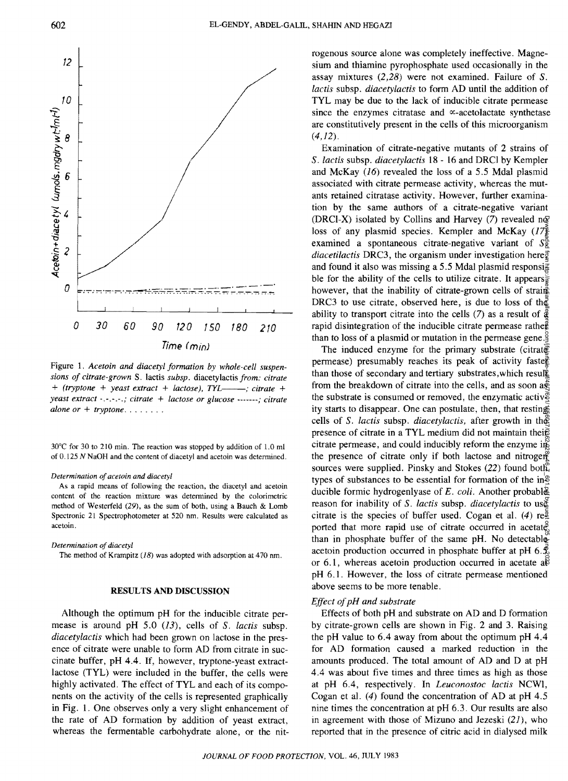

Figure 1. *Acetoin and diacetyl formation by whole-cell suspensions of citrate-grown* S. lactis *subsp.* diacetylactis *from: citrate*  + *(tryptone* + *yeast extract* + *lactose), TYL----; citrate* + *yeast extract* -. -. -. -.; *citrate* + *lactose or glucose* -------; *citrate*   $alone \, or \, + \, tryptone \ldots \ldots$ 

30°C for 30 to 210 min. The reaction was stopped by addition of 1.0 ml of 0.125 N NaOH and the content of diacetyl and acetoin was determined.

#### *Determination of acetoin and diacetyl*

As a rapid means of following the reaction, the diacetyl and acetoin content of the reaction mixture was determined by the colorimetric method of Westerfeld (29), as the sum of both, using a Bauch & Lomb Spectronic 21 Spectrophotometer at 520 nm. Results were calculated as acetoin.

*Determination of diacetyl*  The method of Krampitz (18) was adopted with adsorption at 470 nm.

# RESULTS AND DISCUSSION

Although the optimum pH for the inducible citrate permease is around pH 5.0 (13), cells of S. *lactis* subsp. *diacetylactis* which had been grown on lactose in the presence of citrate were unable to form AD from citrate in succinate buffer, pH 4.4. If, however, tryptone-yeast extractlactose (TYL) were included in the buffer, the cells were highly activated. The effect of TYL and each of its components on the activity of the cells is represented graphically in Fig. 1. One observes only a very slight enhancement of the rate of AD formation by addition of yeast extract, whereas the fermentable carbohydrate alone, or the nitrogenous source alone was completely ineffective. Magnesium and thiamine pyrophosphate used occasionally in the assay mixtures (2,28) were not examined. Failure of S. *lactis* subsp. *diacetylactis* to form AD until the addition of TYL may be due to the lack of inducible citrate permease since the enzymes citratase and  $\infty$ -acetolactate synthetase are constitutively present in the cells of this microorganism  $(4,12)$ .

Examination of citrate-negative mutants of 2 strains of S. *lactis* subsp. *diacetylactis* 18 - 16 and DRCI by Kempler and McKay (16) revealed the loss of a 5.5 Mdal plasmid associated with citrate permease activity, whereas the mutants retained citratase activity. However, further examination by the same authors of a citrate-negative variant (DRCI-X) isolated by Collins and Harvey (7) revealed no. loss of any plasmid species. Kempler and McKay  $(17\frac{5}{6})$ examined a spontaneous citrate-negative variant of  $S_{\mathcal{R}}^{\mathcal{R}}$ *diacetilactis* DRC3, the organism under investigation here $\vec{g}$ and found it also was missing a 5.5 Mdal plasmid responsi $\frac{2}{3}$ ble for the ability of the cells to utilize citrate. It appears, however, that the inability of citrate-grown cells of straing DRC3 to use citrate, observed here, is due to loss of the ability to transport citrate into the cells (7) as a result of  $\frac{3}{6}$ rapid disintegration of the inducible citrate permease rather than to loss of a plasmid or mutation in the permease gene.

The induced enzyme for the primary substrate (citrate) permease) presumably reaches its peak of activity faster than those of secondary and tertiary substrates,which result from the breakdown of citrate into the cells, and as soon  $a\ddot{x}$ the substrate is consumed or removed, the enzymatic activ $\overline{e}$ ity starts to disappear. One can postulate, then, that resting cells of S. *lactis* subsp. *diacetylactis,* after growth in the presence of citrate in a TYL medium did not maintain their citrate permease, and could inducibly reform the enzyme in the presence of citrate only if both lactose and nitrogen sources were supplied. Pinsky and Stokes (22) found both types of substances to be essential for formation of the in<sup>2</sup> ducible formic hydrogenlyase of *E. coli.* Another probable reason for inability of S. *lactis* subsp. *diacetylactis* to use citrate is the species of buffer used. Cogan et al. (4)  $re_{\frac{\pi}{2}}$ ported that more rapid use of citrate occurred in acetate. than in phosphate buffer of the same pH. No detectable acetoin production occurred in phosphate buffer at pH  $6.\frac{5}{6}$ or 6.1, whereas acetoin production occurred in acetate  $a\bar{b}$ pH 6.1. However, the loss of citrate permease mentioned above seems to be more tenable. Downloaded from http://meridian.allenpress.com/jfp/article-pdf/46/7/601/1656047/0362-028x-46\_7\_601.pdf by guest on 25 June 2022

# *Effect of pH and substrate*

Effects of both pH and substrate on AD and D formation by citrate-grown cells are shown in Fig. 2 and 3. Raising the pH value to 6.4 away from about the optimum pH 4.4 for AD formation caused a marked reduction in the amounts produced. The total amount of AD and D at pH 4.4 was about five times and three times as high as those at pH 6.4, respectively. In *Leuconostoc lactis* NCWl, Cogan et al.  $(4)$  found the concentration of AD at pH 4.5 nine times the concentration at pH 6.3. Our results are also in agreement with those of Mizuno and Jezeski (21), who reported that in the presence of citric acid in dialysed milk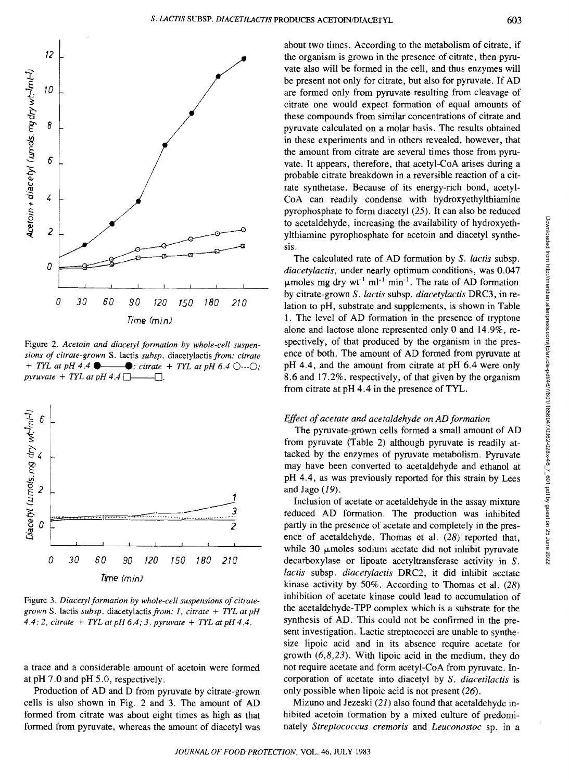

Figure 2. *Acetoin and diacetyl formation by whole-cell suspensions of citrate-grown S. lactis subsp. diacetylactis from: citrate*  $+$  *TYL at pH 4.4*  $\bullet$   $\bullet$  *... citrate*  $+$  *TYL at pH 6.4*  $\circ$   $\cdot$   $\cdot$   $\circ$  *c*  $\rightarrow$  *citrate* + *TYL at pH* 6.4  $\odot$ - $\odot$ ;  $pyruvate + TYL$  at  $pH$  4.4  $\Box$ .



Figure 3. *Diacetyl formation* by *whole-cell suspensions of citrategrown* S. lactis *subsp.* diacetylactisfrom: 1, *citrate* + *TYL at pH*  4.4; 2, *citrate* + *TYL at pH* 6.4; 3, *pyruvate* + *TYL at pH* 4.4.

a trace and a considerable amount of acetoin were formed at pH 7.0 and pH 5.0, respectively.

Production of AD and D from pyruvate by citrate-grown cells is also shown in Fig. 2 and 3. The amount of AD formed from citrate was about eight times as high as that formed from pyruvate, whereas the amount of diacetyl was

about two times. According to the metabolism of citrate, if the organism is grown in the presence of citrate, then pyruvate also will be formed in the cell, and thus enzymes will be present not only for citrate, but also for pyruvate. If AD are formed only from pyruvate resulting from cleavage of citrate one would expect formation of equal amounts of these compounds from similar concentrations of citrate and pyruvate calculated on a molar basis. The results obtained in these experiments and in others revealed, however, that the amount from citrate are several times those from pyruvate. It appears, therefore, that acetyl-CoA arises during a probable citrate breakdown in a reversible reaction of a citrate synthetase. Because of its energy-rich bond, acetyl-CoA can readily condense with hydroxyethylthiamine pyrophosphate to form diacetyl (25). It can also be reduced to acetaldehyde, increasing the availability of hydroxyethylthiamine pyrophosphate for acetoin and diacetyl synthesis.

The calculated rate of AD formation by S. *lactis* subsp. *diacetylactis,* under nearly optimum conditions, Was 0.047  $\mu$ moles mg dry wt<sup>-1</sup> ml<sup>-1</sup> min<sup>-1</sup>. The rate of AD formation by citrate-grown S. *lactis* subsp. *diacetylactis* DRC3, in relation to pH, substrate and supplements, is shown in Table 1. The level of AD formation in the presence of tryptone alone and lactose alone represented only 0 and 14.9%, respectively, of that produced by the organism in the presence of both. The amount of AD formed from pyruvate at pH 4.4, and the amount from citrate at pH 6.4 were only 8.6 and 17.2%, respectively, of that given by the organism from citrate at pH 4.4 in the presence of TYL.

## *Effect of acetate and acetaldehyde on AD formation*

The pyruvate-grown cells formed a small amount of AD from pyruvate (Table 2) although pyruvate is readily attacked by the enzymes of pyruvate metabolism. Pyruvate may have been converted to acetaldehyde and ethanol at pH 4.4, as was previously reported for this strain by Lees and Jago  $(19)$ .

Inclusion of acetate or acetaldehyde in the assay mixture reduced AD formation. The production was inhibited partly in the presence of acetate and completely in the presence of acetaldehyde. Thomas et al. (28) reported that, while 30  $\mu$ moles sodium acetate did not inhibit pyruvate decarboxylase or lipoate acetyltransferase activity in S. *lactis* subsp. *diacetylactis* DRC2, it did inhibit acetate kinase activity by 50%. According to Thomas et aI. (28) inhibition of acetate kinase could lead to accumulation of the acetaldehyde-TPP complex which is a substrate for the synthesis of AD. This could not be confirmed in the present investigation. Lactic streptococci are unable to synthesize lipoic acid and in its absence require acetate for growth  $(6,8,23)$ . With lipoic acid in the medium, they do not require acetate and form acetyl-CoA from pyruvate. Incorporation of acetate into diacetyl by S. *diacetilactis* is only possible when lipoic acid is not present (26).

Mizuno and Jezeski (21) also found that acetaldehyde inhibited acetoin formation by a mixed culture of predominately *Streptococcus cremoris* and *Leuconostoc* sp. m a